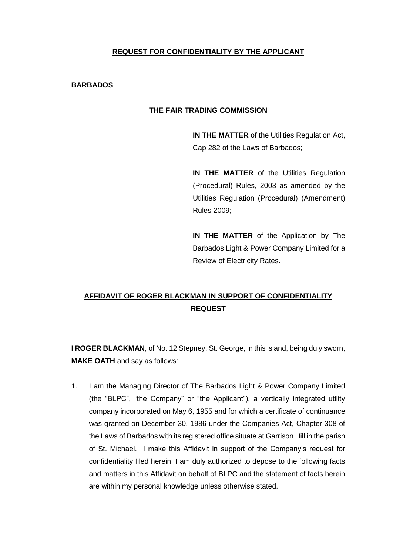## **REQUEST FOR CONFIDENTIALITY BY THE APPLICANT**

## **BARBADOS**

## **THE FAIR TRADING COMMISSION**

**IN THE MATTER** of the Utilities Regulation Act, Cap 282 of the Laws of Barbados;

**IN THE MATTER** of the Utilities Regulation (Procedural) Rules, 2003 as amended by the Utilities Regulation (Procedural) (Amendment) Rules 2009;

**IN THE MATTER** of the Application by The Barbados Light & Power Company Limited for a Review of Electricity Rates.

## **AFFIDAVIT OF ROGER BLACKMAN IN SUPPORT OF CONFIDENTIALITY REQUEST**

**I ROGER BLACKMAN**, of No. 12 Stepney, St. George, in this island, being duly sworn, **MAKE OATH** and say as follows:

1. I am the Managing Director of The Barbados Light & Power Company Limited (the "BLPC", "the Company" or "the Applicant"), a vertically integrated utility company incorporated on May 6, 1955 and for which a certificate of continuance was granted on December 30, 1986 under the Companies Act, Chapter 308 of the Laws of Barbados with its registered office situate at Garrison Hill in the parish of St. Michael. I make this Affidavit in support of the Company's request for confidentiality filed herein. I am duly authorized to depose to the following facts and matters in this Affidavit on behalf of BLPC and the statement of facts herein are within my personal knowledge unless otherwise stated.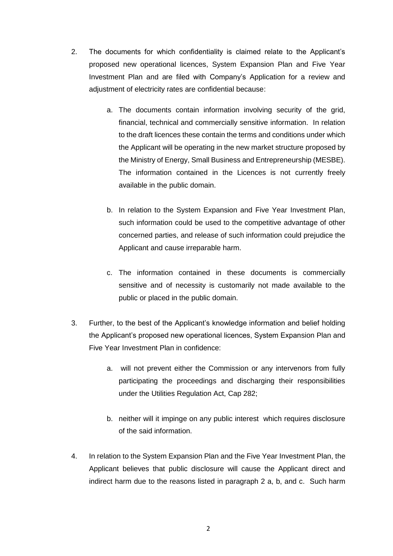- 2. The documents for which confidentiality is claimed relate to the Applicant's proposed new operational licences, System Expansion Plan and Five Year Investment Plan and are filed with Company's Application for a review and adjustment of electricity rates are confidential because:
	- a. The documents contain information involving security of the grid, financial, technical and commercially sensitive information. In relation to the draft licences these contain the terms and conditions under which the Applicant will be operating in the new market structure proposed by the Ministry of Energy, Small Business and Entrepreneurship (MESBE). The information contained in the Licences is not currently freely available in the public domain.
	- b. In relation to the System Expansion and Five Year Investment Plan, such information could be used to the competitive advantage of other concerned parties, and release of such information could prejudice the Applicant and cause irreparable harm.
	- c. The information contained in these documents is commercially sensitive and of necessity is customarily not made available to the public or placed in the public domain.
- 3. Further, to the best of the Applicant's knowledge information and belief holding the Applicant's proposed new operational licences, System Expansion Plan and Five Year Investment Plan in confidence:
	- a. will not prevent either the Commission or any intervenors from fully participating the proceedings and discharging their responsibilities under the Utilities Regulation Act, Cap 282;
	- b. neither will it impinge on any public interest which requires disclosure of the said information.
- 4. In relation to the System Expansion Plan and the Five Year Investment Plan, the Applicant believes that public disclosure will cause the Applicant direct and indirect harm due to the reasons listed in paragraph 2 a, b, and c. Such harm